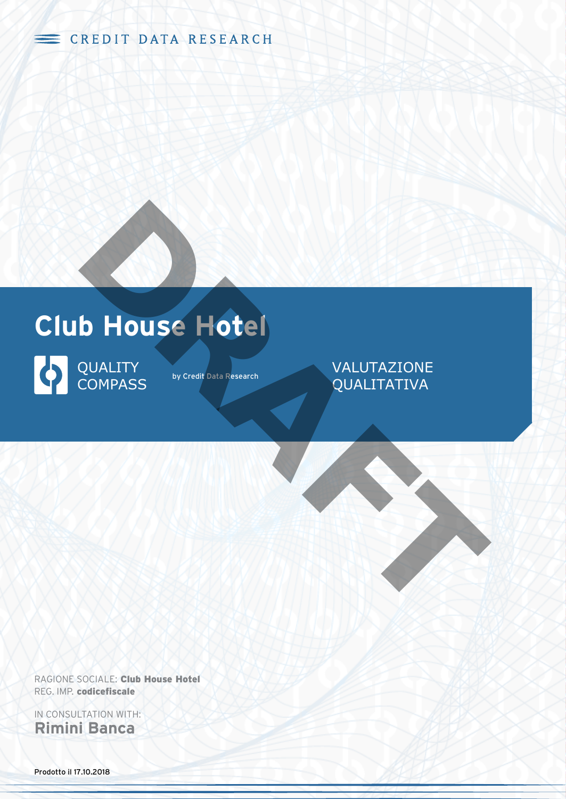CREDIT DATA RESEARCH





by Credit Data Research

### VALUTAZIONE QUALITATIVA

RAGIONE SOCIALE: **Club House Hotel** REG. IMP. **codicefiscale**

IN CONSULTATION WITH: **Rimini Banca**

Prodotto il 17.10.2018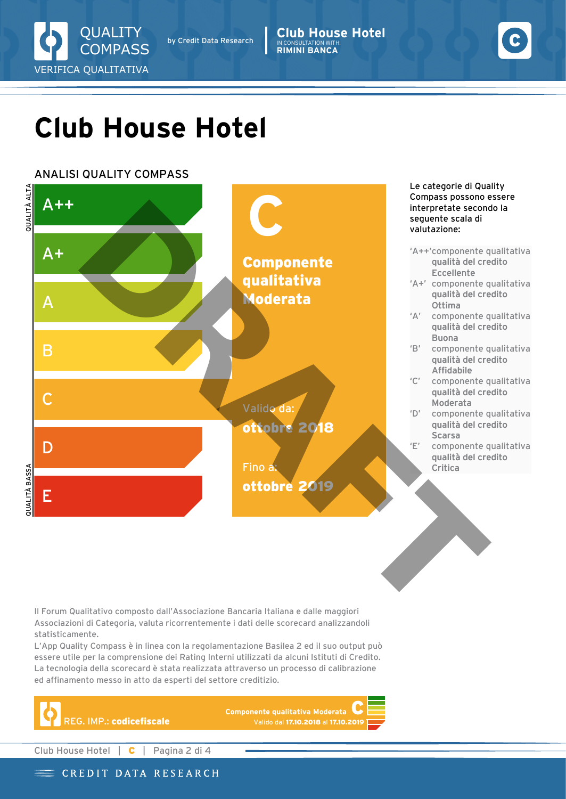

by Credit Data Research

**Club House Hotel** IN CONSULTATION WITH: **RIMINI BANCA**



## **Club House Hotel**

### ANALISI QUALITY COMPASS



Il Forum Qualitativo composto dall'Associazione Bancaria Italiana e dalle maggiori Associazioni di Categoria, valuta ricorrentemente i dati delle scorecard analizzandoli statisticamente.

L'App Quality Compass è in linea con la regolamentazione Basilea 2 ed il suo output può essere utile per la comprensione dei Rating Interni utilizzati da alcuni Istituti di Credito. La tecnologia della scorecard è stata realizzata attraverso un processo di calibrazione ed affinamento messo in atto da esperti del settore creditizio.



**Componente qualitativa Moderata** Valido dal **17.10.2018** al **17.10.2019**

Club House Hotel | **C** | Pagina 2 di 4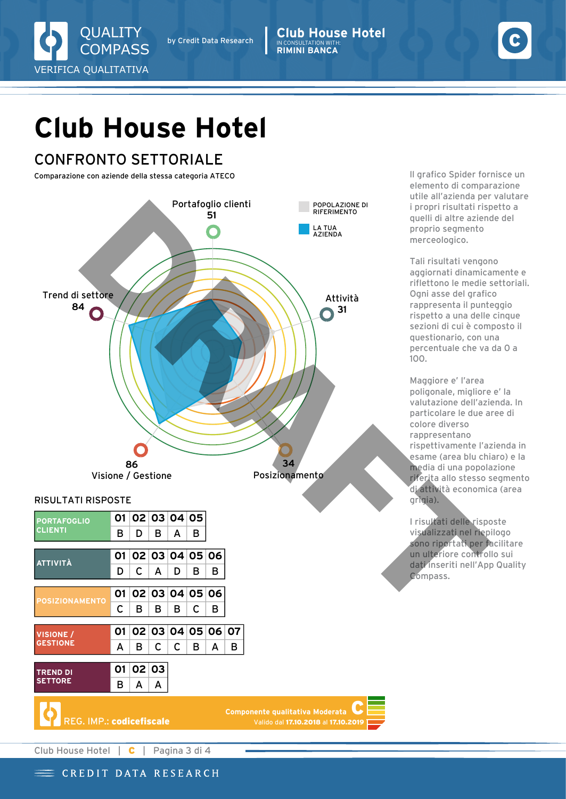

**Club House Hotel** IN CONSULTATION WITH: **RIMINI BANCA**



# **Club House Hotel**

## CONFRONTO SETTORIALE

Comparazione con aziende della stessa categoria ATECO



### RISULTATI RISPOSTE

| <b>PORTAFOGLIO</b><br>CLIENTI       | 01 |       |   | 02 03 04 05       |   |   |   |  |
|-------------------------------------|----|-------|---|-------------------|---|---|---|--|
|                                     | в  | D     | в | A                 | в |   |   |  |
| ATTIVITÀ                            | 01 |       |   | 02 03 04 05 06    |   |   |   |  |
|                                     | D  | C     | A | D                 | в | в |   |  |
| <b>POSIZIONAMENTO</b>               | 01 |       |   | 02 03 04 05 06    |   |   |   |  |
|                                     | С  | в     | в | в                 | C | в |   |  |
|                                     |    |       |   |                   |   |   |   |  |
|                                     | 01 |       |   | 02 03 04 05 06 07 |   |   |   |  |
| <b>VISIONE /</b><br><b>GESTIONE</b> | A  | в     | C | C                 | в | A | в |  |
|                                     | 01 | 02 03 |   |                   |   |   |   |  |
| <b>TREND DI</b><br><b>SETTORE</b>   | в  | A     | A |                   |   |   |   |  |

**Componente qualitativa Moderata C** Valido dal **17.10.2018** al **17.10.2019** ll grafico Spider fornisce un elemento di comparazione utile all'azienda per valutare i propri risultati rispetto a quelli di altre aziende del proprio segmento merceologico.

Tali risultati vengono aggiornati dinamicamente e riflettono le medie settoriali. Ogni asse del grafico rappresenta il punteggio rispetto a una delle cinque sezioni di cui è composto il questionario, con una percentuale che va da 0 a 100.

Maggiore e' l'area poligonale, migliore e' la valutazione dell'azienda. In particolare le due aree di colore diverso rappresentano rispettivamente l'azienda in esame (area blu chiaro) e la media di una popolazione riferita allo stesso segmento di attività economica (area grigia).

I risultati delle risposte visualizzati nel riepilogo sono riportati per facilitare un ulteriore controllo sui dati inseriti nell'App Quality Compass.

Club House Hotel | **C** | Pagina 3 di 4